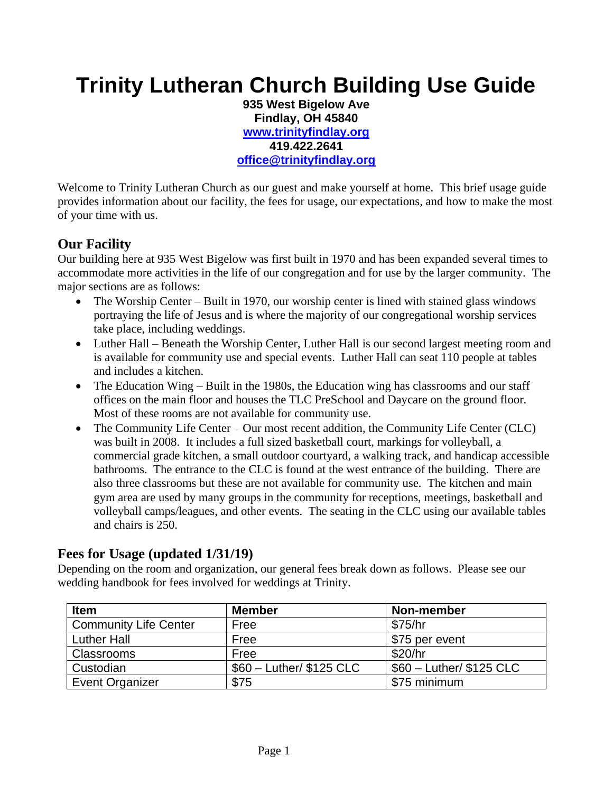## **Trinity Lutheran Church Building Use Guide**

**935 West Bigelow Ave Findlay, OH 45840 [www.trinityfindlay.org](http://www.trinityfindlay.org/) 419.422.2641 [office@trinityfindlay.org](mailto:office@trinityfindlay.org)**

Welcome to Trinity Lutheran Church as our guest and make yourself at home. This brief usage guide provides information about our facility, the fees for usage, our expectations, and how to make the most of your time with us.

#### **Our Facility**

Our building here at 935 West Bigelow was first built in 1970 and has been expanded several times to accommodate more activities in the life of our congregation and for use by the larger community. The major sections are as follows:

- The Worship Center Built in 1970, our worship center is lined with stained glass windows portraying the life of Jesus and is where the majority of our congregational worship services take place, including weddings.
- Luther Hall Beneath the Worship Center, Luther Hall is our second largest meeting room and is available for community use and special events. Luther Hall can seat 110 people at tables and includes a kitchen.
- The Education Wing Built in the 1980s, the Education wing has classrooms and our staff offices on the main floor and houses the TLC PreSchool and Daycare on the ground floor. Most of these rooms are not available for community use.
- The Community Life Center Our most recent addition, the Community Life Center (CLC) was built in 2008. It includes a full sized basketball court, markings for volleyball, a commercial grade kitchen, a small outdoor courtyard, a walking track, and handicap accessible bathrooms. The entrance to the CLC is found at the west entrance of the building. There are also three classrooms but these are not available for community use. The kitchen and main gym area are used by many groups in the community for receptions, meetings, basketball and volleyball camps/leagues, and other events. The seating in the CLC using our available tables and chairs is 250.

#### **Fees for Usage (updated 1/31/19)**

Depending on the room and organization, our general fees break down as follows. Please see our wedding handbook for fees involved for weddings at Trinity.

| <b>Item</b>                  | <b>Member</b>             | Non-member                |
|------------------------------|---------------------------|---------------------------|
| <b>Community Life Center</b> | Free                      | \$75/hr                   |
| <b>Luther Hall</b>           | Free                      | \$75 per event            |
| Classrooms                   | Free                      | \$20/hr                   |
| Custodian                    | $$60$ - Luther/ \$125 CLC | $$60$ - Luther/ \$125 CLC |
| Event Organizer              | \$75                      | \$75 minimum              |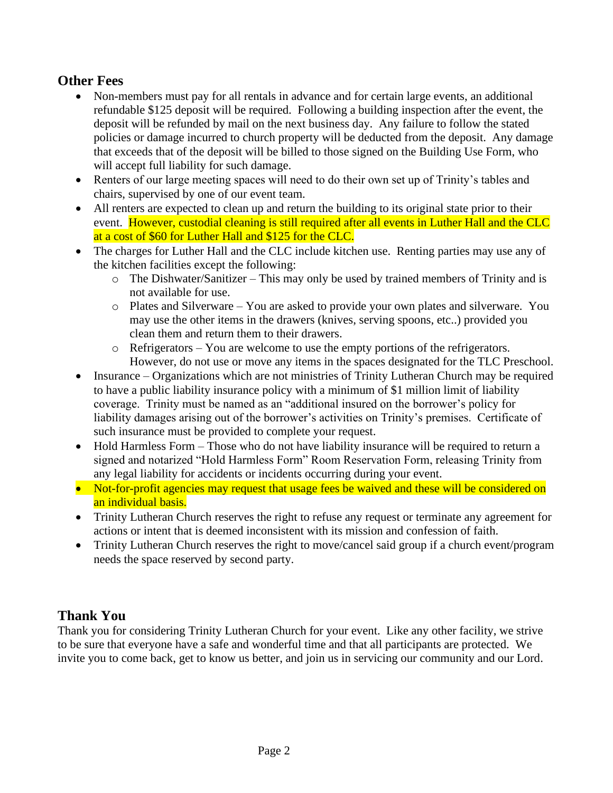#### **Other Fees**

- Non-members must pay for all rentals in advance and for certain large events, an additional refundable \$125 deposit will be required. Following a building inspection after the event, the deposit will be refunded by mail on the next business day. Any failure to follow the stated policies or damage incurred to church property will be deducted from the deposit. Any damage that exceeds that of the deposit will be billed to those signed on the Building Use Form, who will accept full liability for such damage.
- Renters of our large meeting spaces will need to do their own set up of Trinity's tables and chairs, supervised by one of our event team.
- All renters are expected to clean up and return the building to its original state prior to their event. However, custodial cleaning is still required after all events in Luther Hall and the CLC at a cost of \$60 for Luther Hall and \$125 for the CLC.
- The charges for Luther Hall and the CLC include kitchen use. Renting parties may use any of the kitchen facilities except the following:
	- o The Dishwater/Sanitizer This may only be used by trained members of Trinity and is not available for use.
	- o Plates and Silverware You are asked to provide your own plates and silverware. You may use the other items in the drawers (knives, serving spoons, etc..) provided you clean them and return them to their drawers.
	- o Refrigerators You are welcome to use the empty portions of the refrigerators. However, do not use or move any items in the spaces designated for the TLC Preschool.
- Insurance Organizations which are not ministries of Trinity Lutheran Church may be required to have a public liability insurance policy with a minimum of \$1 million limit of liability coverage. Trinity must be named as an "additional insured on the borrower's policy for liability damages arising out of the borrower's activities on Trinity's premises. Certificate of such insurance must be provided to complete your request.
- Hold Harmless Form Those who do not have liability insurance will be required to return a signed and notarized "Hold Harmless Form" Room Reservation Form, releasing Trinity from any legal liability for accidents or incidents occurring during your event.
- Not-for-profit agencies may request that usage fees be waived and these will be considered on an individual basis.
- Trinity Lutheran Church reserves the right to refuse any request or terminate any agreement for actions or intent that is deemed inconsistent with its mission and confession of faith.
- Trinity Lutheran Church reserves the right to move/cancel said group if a church event/program needs the space reserved by second party.

#### **Thank You**

Thank you for considering Trinity Lutheran Church for your event. Like any other facility, we strive to be sure that everyone have a safe and wonderful time and that all participants are protected. We invite you to come back, get to know us better, and join us in servicing our community and our Lord.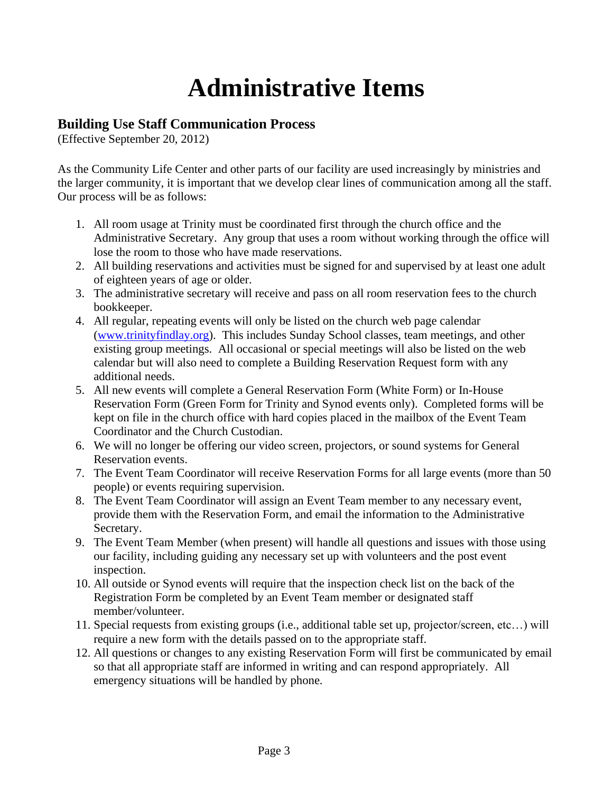# **Administrative Items**

#### **Building Use Staff Communication Process**

(Effective September 20, 2012)

As the Community Life Center and other parts of our facility are used increasingly by ministries and the larger community, it is important that we develop clear lines of communication among all the staff. Our process will be as follows:

- 1. All room usage at Trinity must be coordinated first through the church office and the Administrative Secretary. Any group that uses a room without working through the office will lose the room to those who have made reservations.
- 2. All building reservations and activities must be signed for and supervised by at least one adult of eighteen years of age or older.
- 3. The administrative secretary will receive and pass on all room reservation fees to the church bookkeeper.
- 4. All regular, repeating events will only be listed on the church web page calendar [\(www.trinityfindlay.org\)](http://www.trinityfindlay.org/). This includes Sunday School classes, team meetings, and other existing group meetings. All occasional or special meetings will also be listed on the web calendar but will also need to complete a Building Reservation Request form with any additional needs.
- 5. All new events will complete a General Reservation Form (White Form) or In-House Reservation Form (Green Form for Trinity and Synod events only). Completed forms will be kept on file in the church office with hard copies placed in the mailbox of the Event Team Coordinator and the Church Custodian.
- 6. We will no longer be offering our video screen, projectors, or sound systems for General Reservation events.
- 7. The Event Team Coordinator will receive Reservation Forms for all large events (more than 50 people) or events requiring supervision.
- 8. The Event Team Coordinator will assign an Event Team member to any necessary event, provide them with the Reservation Form, and email the information to the Administrative Secretary.
- 9. The Event Team Member (when present) will handle all questions and issues with those using our facility, including guiding any necessary set up with volunteers and the post event inspection.
- 10. All outside or Synod events will require that the inspection check list on the back of the Registration Form be completed by an Event Team member or designated staff member/volunteer.
- 11. Special requests from existing groups (i.e., additional table set up, projector/screen, etc…) will require a new form with the details passed on to the appropriate staff.
- 12. All questions or changes to any existing Reservation Form will first be communicated by email so that all appropriate staff are informed in writing and can respond appropriately. All emergency situations will be handled by phone.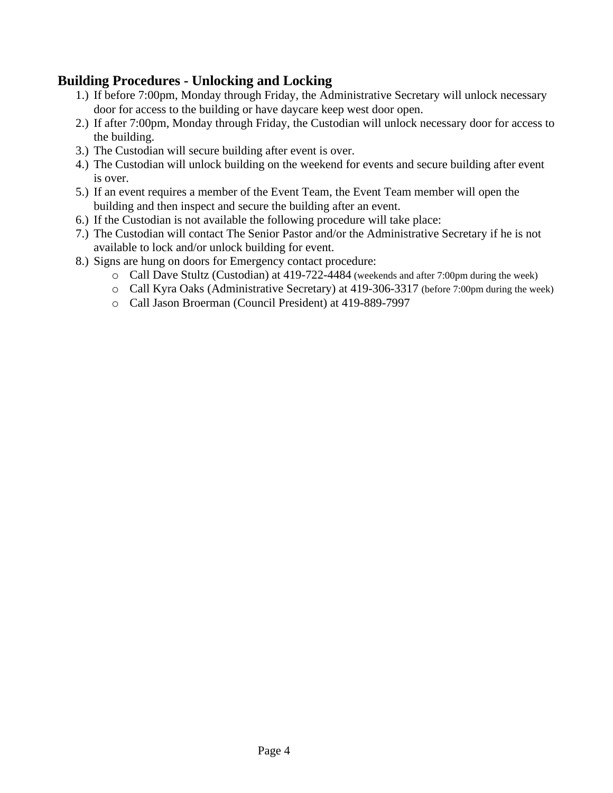#### **Building Procedures - Unlocking and Locking**

- 1.) If before 7:00pm, Monday through Friday, the Administrative Secretary will unlock necessary door for access to the building or have daycare keep west door open.
- 2.) If after 7:00pm, Monday through Friday, the Custodian will unlock necessary door for access to the building.
- 3.) The Custodian will secure building after event is over.
- 4.) The Custodian will unlock building on the weekend for events and secure building after event is over.
- 5.) If an event requires a member of the Event Team, the Event Team member will open the building and then inspect and secure the building after an event.
- 6.) If the Custodian is not available the following procedure will take place:
- 7.) The Custodian will contact The Senior Pastor and/or the Administrative Secretary if he is not available to lock and/or unlock building for event.
- 8.) Signs are hung on doors for Emergency contact procedure:
	- o Call Dave Stultz (Custodian) at 419-722-4484 (weekends and after 7:00pm during the week)
	- o Call Kyra Oaks (Administrative Secretary) at 419-306-3317 (before 7:00pm during the week)
	- o Call Jason Broerman (Council President) at 419-889-7997